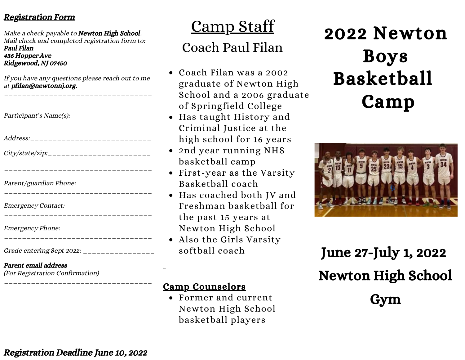#### Registration Form

Make a check payable to **Newton High School**. Mail check and completed registration form to: Paul Filan 436 Hopper Ave Ridgewood, NJ 07450

If you have any questions please reach out to me at pfilan@newtonnj.org.

\_\_\_\_\_\_\_\_\_\_\_\_\_\_\_\_\_\_\_\_\_\_\_\_\_\_\_\_\_\_\_\_\_

| Participant's Name(s):               |
|--------------------------------------|
| Address:____________________________ |
|                                      |
|                                      |
| Parent/guardian Phone:               |
| <b>Emergency Contact:</b>            |
| <b>Emergency Phone:</b>              |

\_\_\_\_\_\_\_\_\_\_\_\_\_\_\_\_\_\_\_\_\_\_\_\_\_\_\_\_\_\_\_\_\_

Grade entering Sept 2022: \_\_\_\_\_\_\_\_\_\_\_\_\_\_\_\_\_\_

#### Parent email address

(For Registration Confirmation)

Camp Staff

# Coach Paul Filan

- Coach Filan was a 2002 graduate of Newton High School and a 2006 graduate of Springfield College
- Has taught History and Criminal Justice at the high school for 16 years
- 2nd year running NHS basketball camp
- First-year as the Varsity Basketball coach
- Has coached both JV and Freshman basketball for the past 15 years at Newton High School
- Also the Girls Varsity softball coach

#### Camp Counselors

He

Former and current Newton High School basketball players

# 2022 Newton Boys Basketball Camp



June 27-July 1, 2022 Newton High School Gym

\_\_\_\_\_\_\_\_\_\_\_\_\_\_\_\_\_\_\_\_\_\_\_\_\_\_\_\_\_\_\_\_\_